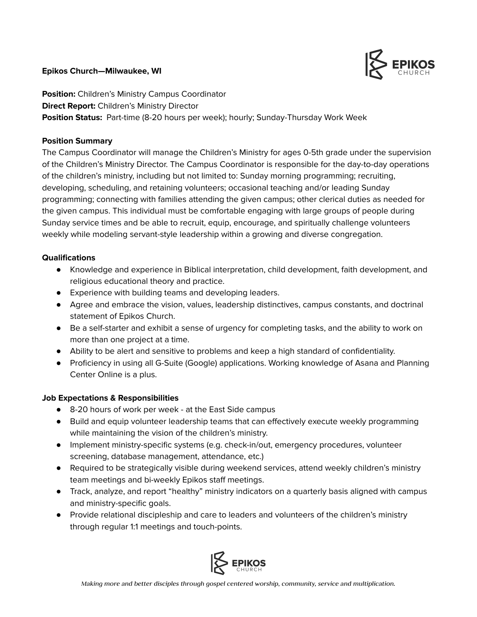## **Epikos Church—Milwaukee, WI**



**Position:** Children's Ministry Campus Coordinator **Direct Report:** Children's Ministry Director **Position Status:** Part-time (8-20 hours per week); hourly; Sunday-Thursday Work Week

## **Position Summary**

The Campus Coordinator will manage the Children's Ministry for ages 0-5th grade under the supervision of the Children's Ministry Director. The Campus Coordinator is responsible for the day-to-day operations of the children's ministry, including but not limited to: Sunday morning programming; recruiting, developing, scheduling, and retaining volunteers; occasional teaching and/or leading Sunday programming; connecting with families attending the given campus; other clerical duties as needed for the given campus. This individual must be comfortable engaging with large groups of people during Sunday service times and be able to recruit, equip, encourage, and spiritually challenge volunteers weekly while modeling servant-style leadership within a growing and diverse congregation.

## **Qualifications**

- Knowledge and experience in Biblical interpretation, child development, faith development, and religious educational theory and practice.
- Experience with building teams and developing leaders.
- Agree and embrace the vision, values, leadership distinctives, campus constants, and doctrinal statement of Epikos Church.
- Be a self-starter and exhibit a sense of urgency for completing tasks, and the ability to work on more than one project at a time.
- Ability to be alert and sensitive to problems and keep a high standard of confidentiality.
- Proficiency in using all G-Suite (Google) applications. Working knowledge of Asana and Planning Center Online is a plus.

## **Job Expectations & Responsibilities**

- 8-20 hours of work per week at the East Side campus
- Build and equip volunteer leadership teams that can effectively execute weekly programming while maintaining the vision of the children's ministry.
- Implement ministry-specific systems (e.g. check-in/out, emergency procedures, volunteer screening, database management, attendance, etc.)
- Required to be strategically visible during weekend services, attend weekly children's ministry team meetings and bi-weekly Epikos staff meetings.
- Track, analyze, and report "healthy" ministry indicators on a quarterly basis aligned with campus and ministry-specific goals.
- Provide relational discipleship and care to leaders and volunteers of the children's ministry through regular 1:1 meetings and touch-points.